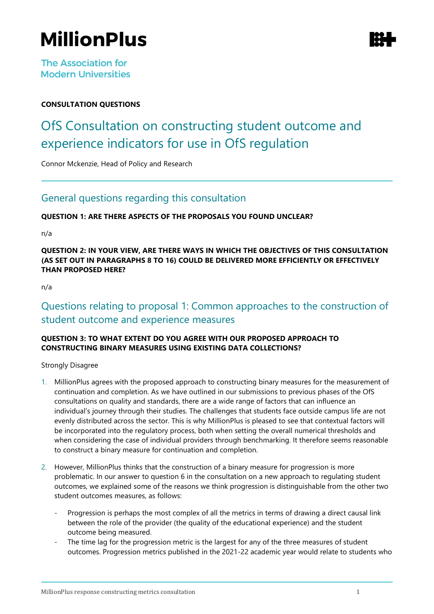# **MillionPlus**

**The Association for Modern Universities** 

# **CONSULTATION QUESTIONS**

# OfS Consultation on constructing student outcome and experience indicators for use in OfS regulation

Connor Mckenzie, Head of Policy and Research

# General questions regarding this consultation

# **QUESTION 1: ARE THERE ASPECTS OF THE PROPOSALS YOU FOUND UNCLEAR?**

n/a

**QUESTION 2: IN YOUR VIEW, ARE THERE WAYS IN WHICH THE OBJECTIVES OF THIS CONSULTATION (AS SET OUT IN PARAGRAPHS 8 TO 16) COULD BE DELIVERED MORE EFFICIENTLY OR EFFECTIVELY THAN PROPOSED HERE?**

n/a

# Questions relating to proposal 1: Common approaches to the construction of student outcome and experience measures

# **QUESTION 3: TO WHAT EXTENT DO YOU AGREE WITH OUR PROPOSED APPROACH TO CONSTRUCTING BINARY MEASURES USING EXISTING DATA COLLECTIONS?**

Strongly Disagree

- 1. MillionPlus agrees with the proposed approach to constructing binary measures for the measurement of continuation and completion. As we have outlined in our submissions to previous phases of the OfS consultations on quality and standards, there are a wide range of factors that can influence an individual's journey through their studies. The challenges that students face outside campus life are not evenly distributed across the sector. This is why MillionPlus is pleased to see that contextual factors will be incorporated into the regulatory process, both when setting the overall numerical thresholds and when considering the case of individual providers through benchmarking. It therefore seems reasonable to construct a binary measure for continuation and completion.
- 2. However, MillionPlus thinks that the construction of a binary measure for progression is more problematic. In our answer to question 6 in the consultation on a new approach to regulating student outcomes, we explained some of the reasons we think progression is distinguishable from the other two student outcomes measures, as follows:
	- Progression is perhaps the most complex of all the metrics in terms of drawing a direct causal link between the role of the provider (the quality of the educational experience) and the student outcome being measured.
	- The time lag for the progression metric is the largest for any of the three measures of student outcomes. Progression metrics published in the 2021-22 academic year would relate to students who

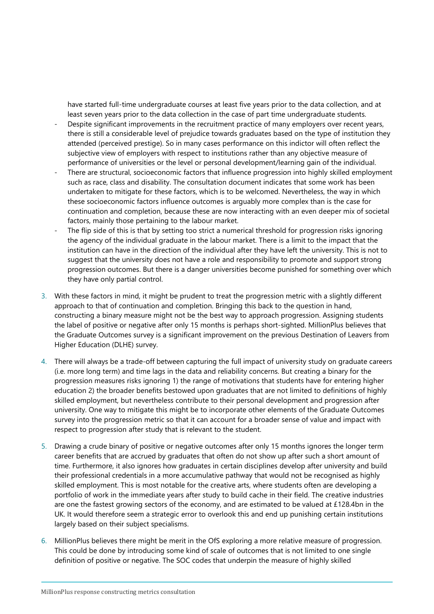have started full-time undergraduate courses at least five years prior to the data collection, and at least seven years prior to the data collection in the case of part time undergraduate students.

- Despite significant improvements in the recruitment practice of many employers over recent years, there is still a considerable level of prejudice towards graduates based on the type of institution they attended (perceived prestige). So in many cases performance on this indictor will often reflect the subjective view of employers with respect to institutions rather than any objective measure of performance of universities or the level or personal development/learning gain of the individual.
- There are structural, socioeconomic factors that influence progression into highly skilled employment such as race, class and disability. The consultation document indicates that some work has been undertaken to mitigate for these factors, which is to be welcomed. Nevertheless, the way in which these socioeconomic factors influence outcomes is arguably more complex than is the case for continuation and completion, because these are now interacting with an even deeper mix of societal factors, mainly those pertaining to the labour market.
- The flip side of this is that by setting too strict a numerical threshold for progression risks ignoring the agency of the individual graduate in the labour market. There is a limit to the impact that the institution can have in the direction of the individual after they have left the university. This is not to suggest that the university does not have a role and responsibility to promote and support strong progression outcomes. But there is a danger universities become punished for something over which they have only partial control.
- 3. With these factors in mind, it might be prudent to treat the progression metric with a slightly different approach to that of continuation and completion. Bringing this back to the question in hand, constructing a binary measure might not be the best way to approach progression. Assigning students the label of positive or negative after only 15 months is perhaps short-sighted. MillionPlus believes that the Graduate Outcomes survey is a significant improvement on the previous Destination of Leavers from Higher Education (DLHE) survey.
- 4. There will always be a trade-off between capturing the full impact of university study on graduate careers (i.e. more long term) and time lags in the data and reliability concerns. But creating a binary for the progression measures risks ignoring 1) the range of motivations that students have for entering higher education 2) the broader benefits bestowed upon graduates that are not limited to definitions of highly skilled employment, but nevertheless contribute to their personal development and progression after university. One way to mitigate this might be to incorporate other elements of the Graduate Outcomes survey into the progression metric so that it can account for a broader sense of value and impact with respect to progression after study that is relevant to the student.
- 5. Drawing a crude binary of positive or negative outcomes after only 15 months ignores the longer term career benefits that are accrued by graduates that often do not show up after such a short amount of time. Furthermore, it also ignores how graduates in certain disciplines develop after university and build their professional credentials in a more accumulative pathway that would not be recognised as highly skilled employment. This is most notable for the creative arts, where students often are developing a portfolio of work in the immediate years after study to build cache in their field. The creative industries are one the fastest growing sectors of the economy, and are estimated to be valued at £128.4bn in the UK. It would therefore seem a strategic error to overlook this and end up punishing certain institutions largely based on their subject specialisms.
- 6. MillionPlus believes there might be merit in the OfS exploring a more relative measure of progression. This could be done by introducing some kind of scale of outcomes that is not limited to one single definition of positive or negative. The SOC codes that underpin the measure of highly skilled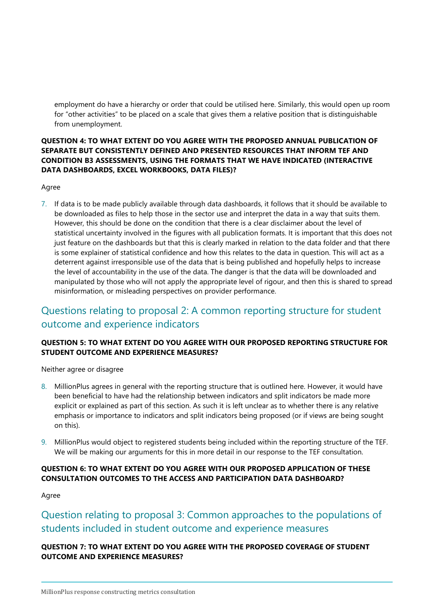employment do have a hierarchy or order that could be utilised here. Similarly, this would open up room for "other activities" to be placed on a scale that gives them a relative position that is distinguishable from unemployment.

# **QUESTION 4: TO WHAT EXTENT DO YOU AGREE WITH THE PROPOSED ANNUAL PUBLICATION OF SEPARATE BUT CONSISTENTLY DEFINED AND PRESENTED RESOURCES THAT INFORM TEF AND CONDITION B3 ASSESSMENTS, USING THE FORMATS THAT WE HAVE INDICATED (INTERACTIVE DATA DASHBOARDS, EXCEL WORKBOOKS, DATA FILES)?**

#### Agree

7. If data is to be made publicly available through data dashboards, it follows that it should be available to be downloaded as files to help those in the sector use and interpret the data in a way that suits them. However, this should be done on the condition that there is a clear disclaimer about the level of statistical uncertainty involved in the figures with all publication formats. It is important that this does not just feature on the dashboards but that this is clearly marked in relation to the data folder and that there is some explainer of statistical confidence and how this relates to the data in question. This will act as a deterrent against irresponsible use of the data that is being published and hopefully helps to increase the level of accountability in the use of the data. The danger is that the data will be downloaded and manipulated by those who will not apply the appropriate level of rigour, and then this is shared to spread misinformation, or misleading perspectives on provider performance.

# Questions relating to proposal 2: A common reporting structure for student outcome and experience indicators

# **QUESTION 5: TO WHAT EXTENT DO YOU AGREE WITH OUR PROPOSED REPORTING STRUCTURE FOR STUDENT OUTCOME AND EXPERIENCE MEASURES?**

Neither agree or disagree

- 8. MillionPlus agrees in general with the reporting structure that is outlined here. However, it would have been beneficial to have had the relationship between indicators and split indicators be made more explicit or explained as part of this section. As such it is left unclear as to whether there is any relative emphasis or importance to indicators and split indicators being proposed (or if views are being sought on this).
- 9. MillionPlus would object to registered students being included within the reporting structure of the TEF. We will be making our arguments for this in more detail in our response to the TEF consultation.

# **QUESTION 6: TO WHAT EXTENT DO YOU AGREE WITH OUR PROPOSED APPLICATION OF THESE CONSULTATION OUTCOMES TO THE ACCESS AND PARTICIPATION DATA DASHBOARD?**

Agree

# Question relating to proposal 3: Common approaches to the populations of students included in student outcome and experience measures

# **QUESTION 7: TO WHAT EXTENT DO YOU AGREE WITH THE PROPOSED COVERAGE OF STUDENT OUTCOME AND EXPERIENCE MEASURES?**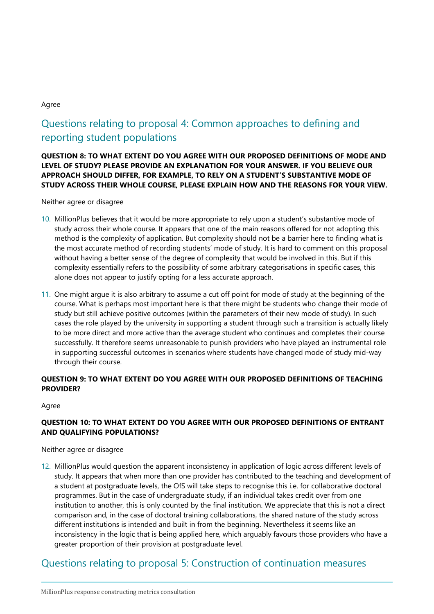#### Agree

# Questions relating to proposal 4: Common approaches to defining and reporting student populations

**QUESTION 8: TO WHAT EXTENT DO YOU AGREE WITH OUR PROPOSED DEFINITIONS OF MODE AND LEVEL OF STUDY? PLEASE PROVIDE AN EXPLANATION FOR YOUR ANSWER. IF YOU BELIEVE OUR APPROACH SHOULD DIFFER, FOR EXAMPLE, TO RELY ON A STUDENT'S SUBSTANTIVE MODE OF STUDY ACROSS THEIR WHOLE COURSE, PLEASE EXPLAIN HOW AND THE REASONS FOR YOUR VIEW.**

#### Neither agree or disagree

- 10. MillionPlus believes that it would be more appropriate to rely upon a student's substantive mode of study across their whole course. It appears that one of the main reasons offered for not adopting this method is the complexity of application. But complexity should not be a barrier here to finding what is the most accurate method of recording students' mode of study. It is hard to comment on this proposal without having a better sense of the degree of complexity that would be involved in this. But if this complexity essentially refers to the possibility of some arbitrary categorisations in specific cases, this alone does not appear to justify opting for a less accurate approach.
- 11. One might argue it is also arbitrary to assume a cut off point for mode of study at the beginning of the course. What is perhaps most important here is that there might be students who change their mode of study but still achieve positive outcomes (within the parameters of their new mode of study). In such cases the role played by the university in supporting a student through such a transition is actually likely to be more direct and more active than the average student who continues and completes their course successfully. It therefore seems unreasonable to punish providers who have played an instrumental role in supporting successful outcomes in scenarios where students have changed mode of study mid-way through their course.

# **QUESTION 9: TO WHAT EXTENT DO YOU AGREE WITH OUR PROPOSED DEFINITIONS OF TEACHING PROVIDER?**

#### Agree

### **QUESTION 10: TO WHAT EXTENT DO YOU AGREE WITH OUR PROPOSED DEFINITIONS OF ENTRANT AND QUALIFYING POPULATIONS?**

Neither agree or disagree

12. MillionPlus would question the apparent inconsistency in application of logic across different levels of study. It appears that when more than one provider has contributed to the teaching and development of a student at postgraduate levels, the OfS will take steps to recognise this i.e. for collaborative doctoral programmes. But in the case of undergraduate study, if an individual takes credit over from one institution to another, this is only counted by the final institution. We appreciate that this is not a direct comparison and, in the case of doctoral training collaborations, the shared nature of the study across different institutions is intended and built in from the beginning. Nevertheless it seems like an inconsistency in the logic that is being applied here, which arguably favours those providers who have a greater proportion of their provision at postgraduate level.

# Questions relating to proposal 5: Construction of continuation measures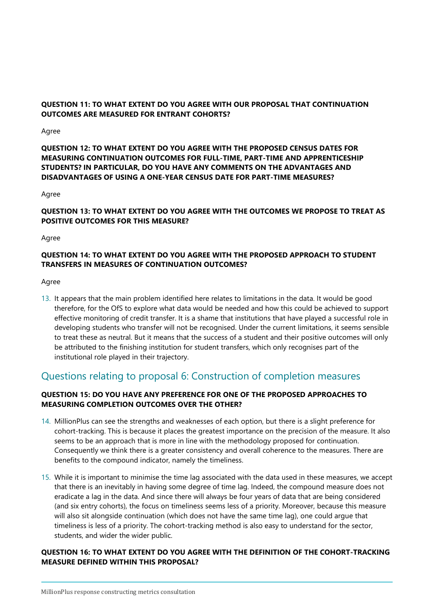# **QUESTION 11: TO WHAT EXTENT DO YOU AGREE WITH OUR PROPOSAL THAT CONTINUATION OUTCOMES ARE MEASURED FOR ENTRANT COHORTS?**

#### Agree

### **QUESTION 12: TO WHAT EXTENT DO YOU AGREE WITH THE PROPOSED CENSUS DATES FOR MEASURING CONTINUATION OUTCOMES FOR FULL-TIME, PART-TIME AND APPRENTICESHIP STUDENTS? IN PARTICULAR, DO YOU HAVE ANY COMMENTS ON THE ADVANTAGES AND DISADVANTAGES OF USING A ONE-YEAR CENSUS DATE FOR PART-TIME MEASURES?**

#### Agree

# **QUESTION 13: TO WHAT EXTENT DO YOU AGREE WITH THE OUTCOMES WE PROPOSE TO TREAT AS POSITIVE OUTCOMES FOR THIS MEASURE?**

Agree

# **QUESTION 14: TO WHAT EXTENT DO YOU AGREE WITH THE PROPOSED APPROACH TO STUDENT TRANSFERS IN MEASURES OF CONTINUATION OUTCOMES?**

Agree

13. It appears that the main problem identified here relates to limitations in the data. It would be good therefore, for the OfS to explore what data would be needed and how this could be achieved to support effective monitoring of credit transfer. It is a shame that institutions that have played a successful role in developing students who transfer will not be recognised. Under the current limitations, it seems sensible to treat these as neutral. But it means that the success of a student and their positive outcomes will only be attributed to the finishing institution for student transfers, which only recognises part of the institutional role played in their trajectory.

# Questions relating to proposal 6: Construction of completion measures

### **QUESTION 15: DO YOU HAVE ANY PREFERENCE FOR ONE OF THE PROPOSED APPROACHES TO MEASURING COMPLETION OUTCOMES OVER THE OTHER?**

- 14. MillionPlus can see the strengths and weaknesses of each option, but there is a slight preference for cohort-tracking. This is because it places the greatest importance on the precision of the measure. It also seems to be an approach that is more in line with the methodology proposed for continuation. Consequently we think there is a greater consistency and overall coherence to the measures. There are benefits to the compound indicator, namely the timeliness.
- 15. While it is important to minimise the time lag associated with the data used in these measures, we accept that there is an inevitably in having some degree of time lag. Indeed, the compound measure does not eradicate a lag in the data. And since there will always be four years of data that are being considered (and six entry cohorts), the focus on timeliness seems less of a priority. Moreover, because this measure will also sit alongside continuation (which does not have the same time lag), one could argue that timeliness is less of a priority. The cohort-tracking method is also easy to understand for the sector, students, and wider the wider public.

#### **QUESTION 16: TO WHAT EXTENT DO YOU AGREE WITH THE DEFINITION OF THE COHORT-TRACKING MEASURE DEFINED WITHIN THIS PROPOSAL?**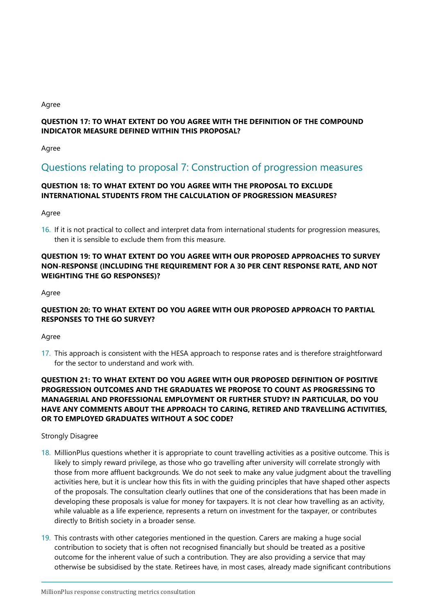#### Agree

# **QUESTION 17: TO WHAT EXTENT DO YOU AGREE WITH THE DEFINITION OF THE COMPOUND INDICATOR MEASURE DEFINED WITHIN THIS PROPOSAL?**

Agree

# Questions relating to proposal 7: Construction of progression measures

# **QUESTION 18: TO WHAT EXTENT DO YOU AGREE WITH THE PROPOSAL TO EXCLUDE INTERNATIONAL STUDENTS FROM THE CALCULATION OF PROGRESSION MEASURES?**

Agree

16. If it is not practical to collect and interpret data from international students for progression measures, then it is sensible to exclude them from this measure.

### **QUESTION 19: TO WHAT EXTENT DO YOU AGREE WITH OUR PROPOSED APPROACHES TO SURVEY NON-RESPONSE (INCLUDING THE REQUIREMENT FOR A 30 PER CENT RESPONSE RATE, AND NOT WEIGHTING THE GO RESPONSES)?**

#### Agree

# **QUESTION 20: TO WHAT EXTENT DO YOU AGREE WITH OUR PROPOSED APPROACH TO PARTIAL RESPONSES TO THE GO SURVEY?**

Agree

17. This approach is consistent with the HESA approach to response rates and is therefore straightforward for the sector to understand and work with.

### **QUESTION 21: TO WHAT EXTENT DO YOU AGREE WITH OUR PROPOSED DEFINITION OF POSITIVE PROGRESSION OUTCOMES AND THE GRADUATES WE PROPOSE TO COUNT AS PROGRESSING TO MANAGERIAL AND PROFESSIONAL EMPLOYMENT OR FURTHER STUDY? IN PARTICULAR, DO YOU HAVE ANY COMMENTS ABOUT THE APPROACH TO CARING, RETIRED AND TRAVELLING ACTIVITIES, OR TO EMPLOYED GRADUATES WITHOUT A SOC CODE?**

### Strongly Disagree

- 18. MillionPlus questions whether it is appropriate to count travelling activities as a positive outcome. This is likely to simply reward privilege, as those who go travelling after university will correlate strongly with those from more affluent backgrounds. We do not seek to make any value judgment about the travelling activities here, but it is unclear how this fits in with the guiding principles that have shaped other aspects of the proposals. The consultation clearly outlines that one of the considerations that has been made in developing these proposals is value for money for taxpayers. It is not clear how travelling as an activity, while valuable as a life experience, represents a return on investment for the taxpayer, or contributes directly to British society in a broader sense.
- 19. This contrasts with other categories mentioned in the question. Carers are making a huge social contribution to society that is often not recognised financially but should be treated as a positive outcome for the inherent value of such a contribution. They are also providing a service that may otherwise be subsidised by the state. Retirees have, in most cases, already made significant contributions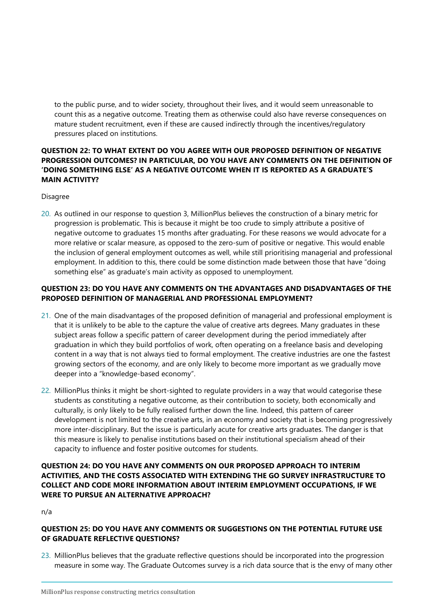to the public purse, and to wider society, throughout their lives, and it would seem unreasonable to count this as a negative outcome. Treating them as otherwise could also have reverse consequences on mature student recruitment, even if these are caused indirectly through the incentives/regulatory pressures placed on institutions.

# **QUESTION 22: TO WHAT EXTENT DO YOU AGREE WITH OUR PROPOSED DEFINITION OF NEGATIVE PROGRESSION OUTCOMES? IN PARTICULAR, DO YOU HAVE ANY COMMENTS ON THE DEFINITION OF 'DOING SOMETHING ELSE' AS A NEGATIVE OUTCOME WHEN IT IS REPORTED AS A GRADUATE'S MAIN ACTIVITY?**

#### Disagree

20. As outlined in our response to question 3, MillionPlus believes the construction of a binary metric for progression is problematic. This is because it might be too crude to simply attribute a positive of negative outcome to graduates 15 months after graduating. For these reasons we would advocate for a more relative or scalar measure, as opposed to the zero-sum of positive or negative. This would enable the inclusion of general employment outcomes as well, while still prioritising managerial and professional employment. In addition to this, there could be some distinction made between those that have "doing something else" as graduate's main activity as opposed to unemployment.

# **QUESTION 23: DO YOU HAVE ANY COMMENTS ON THE ADVANTAGES AND DISADVANTAGES OF THE PROPOSED DEFINITION OF MANAGERIAL AND PROFESSIONAL EMPLOYMENT?**

- 21. One of the main disadvantages of the proposed definition of managerial and professional employment is that it is unlikely to be able to the capture the value of creative arts degrees. Many graduates in these subject areas follow a specific pattern of career development during the period immediately after graduation in which they build portfolios of work, often operating on a freelance basis and developing content in a way that is not always tied to formal employment. The creative industries are one the fastest growing sectors of the economy, and are only likely to become more important as we gradually move deeper into a "knowledge-based economy".
- 22. MillionPlus thinks it might be short-sighted to regulate providers in a way that would categorise these students as constituting a negative outcome, as their contribution to society, both economically and culturally, is only likely to be fully realised further down the line. Indeed, this pattern of career development is not limited to the creative arts, in an economy and society that is becoming progressively more inter-disciplinary. But the issue is particularly acute for creative arts graduates. The danger is that this measure is likely to penalise institutions based on their institutional specialism ahead of their capacity to influence and foster positive outcomes for students.

### **QUESTION 24: DO YOU HAVE ANY COMMENTS ON OUR PROPOSED APPROACH TO INTERIM ACTIVITIES, AND THE COSTS ASSOCIATED WITH EXTENDING THE GO SURVEY INFRASTRUCTURE TO COLLECT AND CODE MORE INFORMATION ABOUT INTERIM EMPLOYMENT OCCUPATIONS, IF WE WERE TO PURSUE AN ALTERNATIVE APPROACH?**

n/a

### **QUESTION 25: DO YOU HAVE ANY COMMENTS OR SUGGESTIONS ON THE POTENTIAL FUTURE USE OF GRADUATE REFLECTIVE QUESTIONS?**

23. MillionPlus believes that the graduate reflective questions should be incorporated into the progression measure in some way. The Graduate Outcomes survey is a rich data source that is the envy of many other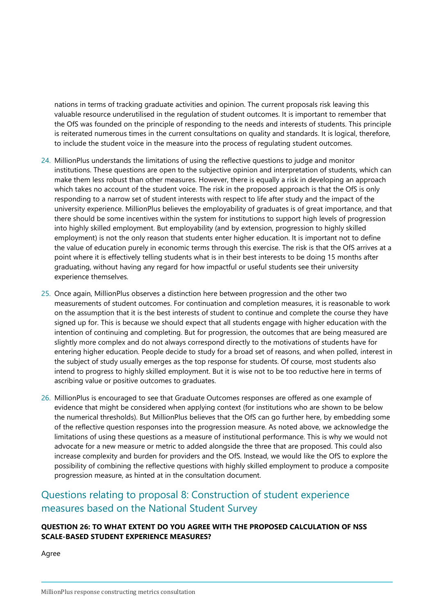nations in terms of tracking graduate activities and opinion. The current proposals risk leaving this valuable resource underutilised in the regulation of student outcomes. It is important to remember that the OfS was founded on the principle of responding to the needs and interests of students. This principle is reiterated numerous times in the current consultations on quality and standards. It is logical, therefore, to include the student voice in the measure into the process of regulating student outcomes.

- 24. MillionPlus understands the limitations of using the reflective questions to judge and monitor institutions. These questions are open to the subjective opinion and interpretation of students, which can make them less robust than other measures. However, there is equally a risk in developing an approach which takes no account of the student voice. The risk in the proposed approach is that the OfS is only responding to a narrow set of student interests with respect to life after study and the impact of the university experience. MillionPlus believes the employability of graduates is of great importance, and that there should be some incentives within the system for institutions to support high levels of progression into highly skilled employment. But employability (and by extension, progression to highly skilled employment) is not the only reason that students enter higher education. It is important not to define the value of education purely in economic terms through this exercise. The risk is that the OfS arrives at a point where it is effectively telling students what is in their best interests to be doing 15 months after graduating, without having any regard for how impactful or useful students see their university experience themselves.
- 25. Once again, MillionPlus observes a distinction here between progression and the other two measurements of student outcomes. For continuation and completion measures, it is reasonable to work on the assumption that it is the best interests of student to continue and complete the course they have signed up for. This is because we should expect that all students engage with higher education with the intention of continuing and completing. But for progression, the outcomes that are being measured are slightly more complex and do not always correspond directly to the motivations of students have for entering higher education. People decide to study for a broad set of reasons, and when polled, interest in the subject of study usually emerges as the top response for students. Of course, most students also intend to progress to highly skilled employment. But it is wise not to be too reductive here in terms of ascribing value or positive outcomes to graduates.
- 26. MillionPlus is encouraged to see that Graduate Outcomes responses are offered as one example of evidence that might be considered when applying context (for institutions who are shown to be below the numerical thresholds). But MillionPlus believes that the OfS can go further here, by embedding some of the reflective question responses into the progression measure. As noted above, we acknowledge the limitations of using these questions as a measure of institutional performance. This is why we would not advocate for a new measure or metric to added alongside the three that are proposed. This could also increase complexity and burden for providers and the OfS. Instead, we would like the OfS to explore the possibility of combining the reflective questions with highly skilled employment to produce a composite progression measure, as hinted at in the consultation document.

# Questions relating to proposal 8: Construction of student experience measures based on the National Student Survey

### **QUESTION 26: TO WHAT EXTENT DO YOU AGREE WITH THE PROPOSED CALCULATION OF NSS SCALE-BASED STUDENT EXPERIENCE MEASURES?**

Agree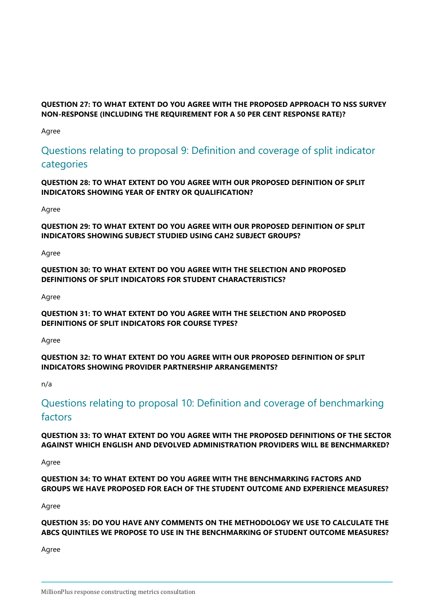# **QUESTION 27: TO WHAT EXTENT DO YOU AGREE WITH THE PROPOSED APPROACH TO NSS SURVEY NON-RESPONSE (INCLUDING THE REQUIREMENT FOR A 50 PER CENT RESPONSE RATE)?**

Agree

# Questions relating to proposal 9: Definition and coverage of split indicator categories

**QUESTION 28: TO WHAT EXTENT DO YOU AGREE WITH OUR PROPOSED DEFINITION OF SPLIT INDICATORS SHOWING YEAR OF ENTRY OR QUALIFICATION?**

Agree

**QUESTION 29: TO WHAT EXTENT DO YOU AGREE WITH OUR PROPOSED DEFINITION OF SPLIT INDICATORS SHOWING SUBJECT STUDIED USING CAH2 SUBJECT GROUPS?**

Agree

**QUESTION 30: TO WHAT EXTENT DO YOU AGREE WITH THE SELECTION AND PROPOSED DEFINITIONS OF SPLIT INDICATORS FOR STUDENT CHARACTERISTICS?**

Agree

**QUESTION 31: TO WHAT EXTENT DO YOU AGREE WITH THE SELECTION AND PROPOSED DEFINITIONS OF SPLIT INDICATORS FOR COURSE TYPES?**

Agree

**QUESTION 32: TO WHAT EXTENT DO YOU AGREE WITH OUR PROPOSED DEFINITION OF SPLIT INDICATORS SHOWING PROVIDER PARTNERSHIP ARRANGEMENTS?**

n/a

# Questions relating to proposal 10: Definition and coverage of benchmarking factors

**QUESTION 33: TO WHAT EXTENT DO YOU AGREE WITH THE PROPOSED DEFINITIONS OF THE SECTOR AGAINST WHICH ENGLISH AND DEVOLVED ADMINISTRATION PROVIDERS WILL BE BENCHMARKED?**

Agree

**QUESTION 34: TO WHAT EXTENT DO YOU AGREE WITH THE BENCHMARKING FACTORS AND GROUPS WE HAVE PROPOSED FOR EACH OF THE STUDENT OUTCOME AND EXPERIENCE MEASURES?**

Agree

**QUESTION 35: DO YOU HAVE ANY COMMENTS ON THE METHODOLOGY WE USE TO CALCULATE THE ABCS QUINTILES WE PROPOSE TO USE IN THE BENCHMARKING OF STUDENT OUTCOME MEASURES?**

Agree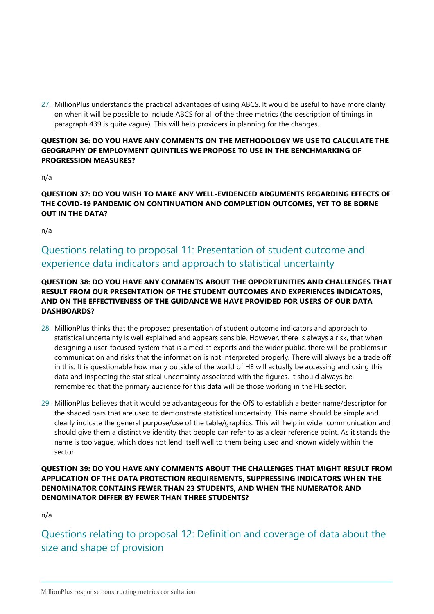27. MillionPlus understands the practical advantages of using ABCS. It would be useful to have more clarity on when it will be possible to include ABCS for all of the three metrics (the description of timings in paragraph 439 is quite vague). This will help providers in planning for the changes.

### **QUESTION 36: DO YOU HAVE ANY COMMENTS ON THE METHODOLOGY WE USE TO CALCULATE THE GEOGRAPHY OF EMPLOYMENT QUINTILES WE PROPOSE TO USE IN THE BENCHMARKING OF PROGRESSION MEASURES?**

n/a

# **QUESTION 37: DO YOU WISH TO MAKE ANY WELL-EVIDENCED ARGUMENTS REGARDING EFFECTS OF THE COVID-19 PANDEMIC ON CONTINUATION AND COMPLETION OUTCOMES, YET TO BE BORNE OUT IN THE DATA?**

n/a

# Questions relating to proposal 11: Presentation of student outcome and experience data indicators and approach to statistical uncertainty

# **QUESTION 38: DO YOU HAVE ANY COMMENTS ABOUT THE OPPORTUNITIES AND CHALLENGES THAT RESULT FROM OUR PRESENTATION OF THE STUDENT OUTCOMES AND EXPERIENCES INDICATORS, AND ON THE EFFECTIVENESS OF THE GUIDANCE WE HAVE PROVIDED FOR USERS OF OUR DATA DASHBOARDS?**

- 28. MillionPlus thinks that the proposed presentation of student outcome indicators and approach to statistical uncertainty is well explained and appears sensible. However, there is always a risk, that when designing a user-focused system that is aimed at experts and the wider public, there will be problems in communication and risks that the information is not interpreted properly. There will always be a trade off in this. It is questionable how many outside of the world of HE will actually be accessing and using this data and inspecting the statistical uncertainty associated with the figures. It should always be remembered that the primary audience for this data will be those working in the HE sector.
- 29. MillionPlus believes that it would be advantageous for the OfS to establish a better name/descriptor for the shaded bars that are used to demonstrate statistical uncertainty. This name should be simple and clearly indicate the general purpose/use of the table/graphics. This will help in wider communication and should give them a distinctive identity that people can refer to as a clear reference point. As it stands the name is too vague, which does not lend itself well to them being used and known widely within the sector.

### **QUESTION 39: DO YOU HAVE ANY COMMENTS ABOUT THE CHALLENGES THAT MIGHT RESULT FROM APPLICATION OF THE DATA PROTECTION REQUIREMENTS, SUPPRESSING INDICATORS WHEN THE DENOMINATOR CONTAINS FEWER THAN 23 STUDENTS, AND WHEN THE NUMERATOR AND DENOMINATOR DIFFER BY FEWER THAN THREE STUDENTS?**

n/a

Questions relating to proposal 12: Definition and coverage of data about the size and shape of provision